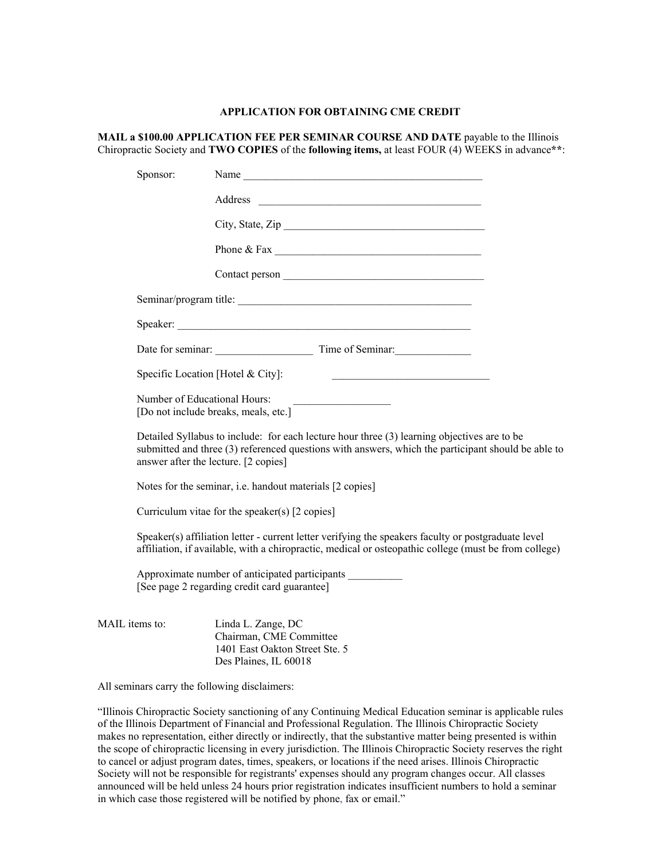## **APPLICATION FOR OBTAINING CME CREDIT**

**MAIL a \$100.00 APPLICATION FEE PER SEMINAR COURSE AND DATE** payable to the Illinois Chiropractic Society and **TWO COPIES** of the **following items,** at least FOUR (4) WEEKS in advance**\*\***:

|                | Sponsor:                                                                                                                                                                                                                                  | Name                                                                                                     |  |  |  |  |
|----------------|-------------------------------------------------------------------------------------------------------------------------------------------------------------------------------------------------------------------------------------------|----------------------------------------------------------------------------------------------------------|--|--|--|--|
|                |                                                                                                                                                                                                                                           |                                                                                                          |  |  |  |  |
|                |                                                                                                                                                                                                                                           |                                                                                                          |  |  |  |  |
|                |                                                                                                                                                                                                                                           |                                                                                                          |  |  |  |  |
|                |                                                                                                                                                                                                                                           |                                                                                                          |  |  |  |  |
|                |                                                                                                                                                                                                                                           | Seminar/program title:                                                                                   |  |  |  |  |
|                |                                                                                                                                                                                                                                           |                                                                                                          |  |  |  |  |
|                |                                                                                                                                                                                                                                           | Date for seminar: Time of Seminar:                                                                       |  |  |  |  |
|                | Specific Location [Hotel & City]:                                                                                                                                                                                                         |                                                                                                          |  |  |  |  |
|                | Number of Educational Hours:<br>[Do not include breaks, meals, etc.]                                                                                                                                                                      |                                                                                                          |  |  |  |  |
|                | Detailed Syllabus to include: for each lecture hour three (3) learning objectives are to be<br>submitted and three (3) referenced questions with answers, which the participant should be able to<br>answer after the lecture. [2 copies] |                                                                                                          |  |  |  |  |
|                | Notes for the seminar, i.e. handout materials [2 copies]                                                                                                                                                                                  |                                                                                                          |  |  |  |  |
|                |                                                                                                                                                                                                                                           | Curriculum vitae for the speaker(s) $[2 \text{ copies}]$                                                 |  |  |  |  |
|                | Speaker(s) affiliation letter - current letter verifying the speakers faculty or postgraduate level<br>affiliation, if available, with a chiropractic, medical or osteopathic college (must be from college)                              |                                                                                                          |  |  |  |  |
|                | Approximate number of anticipated participants<br>[See page 2 regarding credit card guarantee]                                                                                                                                            |                                                                                                          |  |  |  |  |
| MAIL items to: |                                                                                                                                                                                                                                           | Linda L. Zange, DC<br>Chairman, CME Committee<br>1401 East Oakton Street Ste. 5<br>Des Plaines, IL 60018 |  |  |  |  |

All seminars carry the following disclaimers:

"Illinois Chiropractic Society sanctioning of any Continuing Medical Education seminar is applicable rules of the Illinois Department of Financial and Professional Regulation. The Illinois Chiropractic Society makes no representation, either directly or indirectly, that the substantive matter being presented is within the scope of chiropractic licensing in every jurisdiction. The Illinois Chiropractic Society reserves the right to cancel or adjust program dates, times, speakers, or locations if the need arises. Illinois Chiropractic Society will not be responsible for registrants' expenses should any program changes occur. All classes announced will be held unless 24 hours prior registration indicates insufficient numbers to hold a seminar in which case those registered will be notified by phone, fax or email."